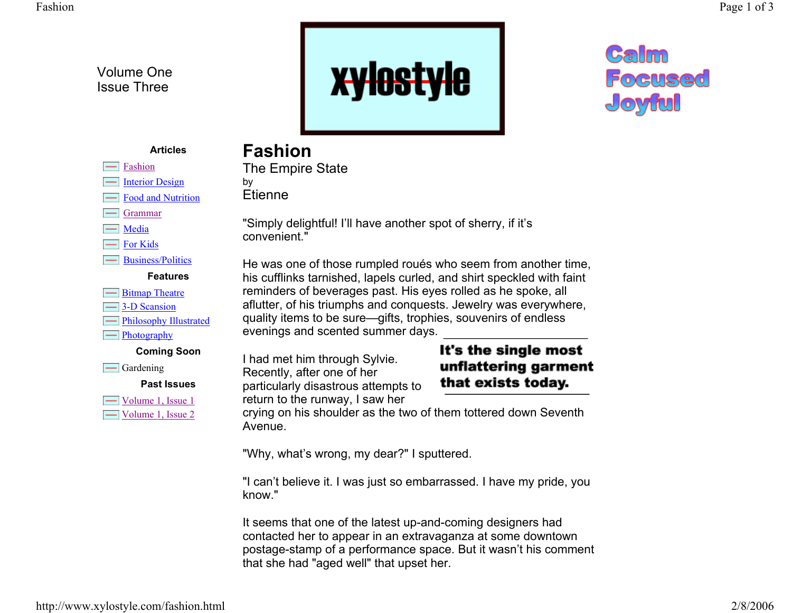Volume One Issue Three



# Galm **Focused** Joyful

#### **Articles**

## **Fashion**

Etienne

The Empire State

by

 $\equiv$ Interior Design

Fashion

- Food and Nutrition
- Grammar
- $\equiv$  Media
- For Kids

Business/Politics

#### **Features**

- **Example 1** Bitmap Theatre
- 3-D Scansion
- $\equiv$  Philosophy Illustrated
- $\boxed{\phantom{1}}$  Photography

#### **Coming Soon**

 $\equiv$  Gardening

#### **Past Issues**

 $\Box$  Volume 1, Issue 1 Volume 1, Issue 2 "Simply delightful! I'll have another spot of sherry, if it's convenient."

He was one of those rumpled roués who seem from another time, his cufflinks tarnished, lapels curled, and shirt speckled with faint reminders of beverages past. His eyes rolled as he spoke, all aflutter, of his triumphs and conquests. Jewelry was everywhere, quality items to be sure—gifts, trophies, souvenirs of endless evenings and scented summer days.

I had met him through Sylvie. Recently, after one of her particularly disastrous attempts to return to the runway, I saw her

### It's the single most unflattering garment that exists today.

crying on his shoulder as the two of them tottered down Seventh Avenue.

"Why, what's wrong, my dear?" I sputtered.

"I can't believe it. I was just so embarrassed. I have my pride, you know."

It seems that one of the latest up-and-coming designers had contacted her to appear in an extravaganza at some downtown postage-stamp of a performance space. But it wasn't his comment that she had "aged well" that upset her.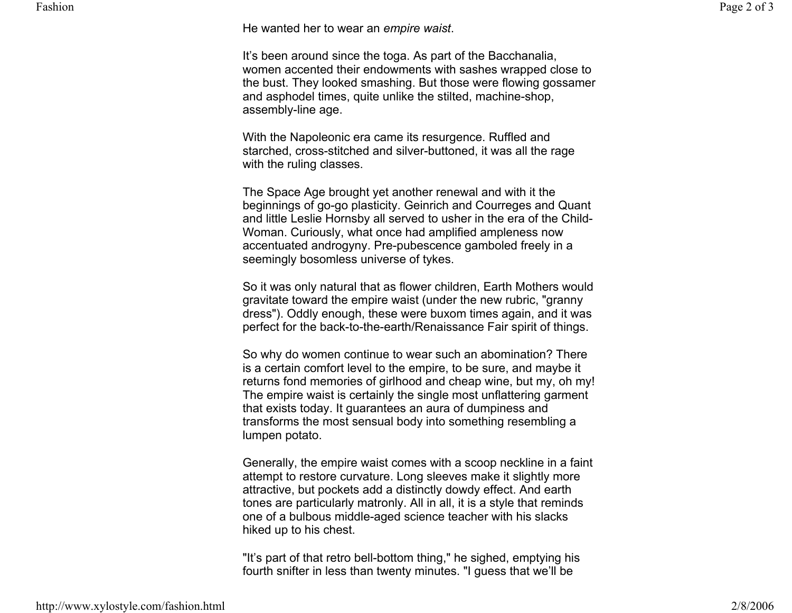Fashion

He wanted her to wear an *empire waist*.

It's been around since the toga. As part of the Bacchanalia, women accented their endowments with sashes wrapped close to the bust. They looked smashing. But those were flowing gossamer and asphodel times, quite unlike the stilted, machine-shop, assembly-line age.

With the Napoleonic era came its resurgence. Ruffled and starched, cross-stitched and silver-buttoned, it was all the rage with the ruling classes.

The Space Age brought yet another renewal and with it the beginnings of go-go plasticity. Geinrich and Courreges and Quant and little Leslie Hornsby all served to usher in the era of the Child-Woman. Curiously, what once had amplified ampleness now accentuated androgyny. Pre-pubescence gamboled freely in a seemingly bosomless universe of tykes.

So it was only natural that as flower children, Earth Mothers would gravitate toward the empire waist (under the new rubric, "granny dress"). Oddly enough, these were buxom times again, and it was perfect for the back-to-the-earth/Renaissance Fair spirit of things.

So why do women continue to wear such an abomination? There is a certain comfort level to the empire, to be sure, and maybe it returns fond memories of girlhood and cheap wine, but my, oh my! The empire waist is certainly the single most unflattering garment that exists today. It guarantees an aura of dumpiness and transforms the most sensual body into something resembling a lumpen potato.

Generally, the empire waist comes with a scoop neckline in a faint attempt to restore curvature. Long sleeves make it slightly more attractive, but pockets add a distinctly dowdy effect. And earth tones are particularly matronly. All in all, it is a style that reminds one of a bulbous middle-aged science teacher with his slacks hiked up to his chest.

"It's part of that retro bell-bottom thing," he sighed, emptying his fourth snifter in less than twenty minutes. "I guess that we'll be